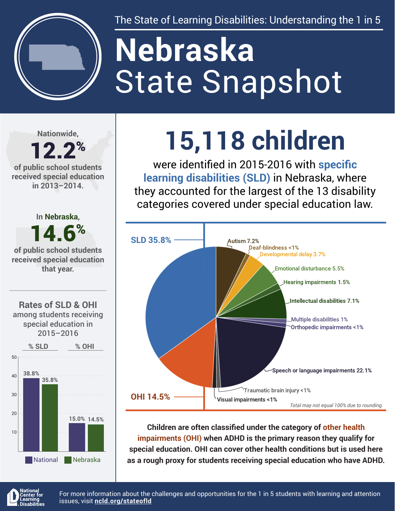

The State of Learning Disabilities: Understanding the 1 in 5

# State Snapshot **Nebraska**

**Nationwide,**

### 12.2% **of public school students**

**received special education in 2013–2014.**



## **15,118 children**

were identified in 2015-2016 with **specific learning disabilities (SLD)** in Nebraska, where they accounted for the largest of the 13 disability categories covered under special education law.



**Children are often classified under the category of other health impairments (OHI) when ADHD is the primary reason they qualify for special education. OHI can cover other health conditions but is used here as a rough proxy for students receiving special education who have ADHD.**



For more information about the challenges and opportunities for the 1 in 5 students with learning and attention issues, visit **[ncld.org/stateofld](http://ncld.org/stateofld)**